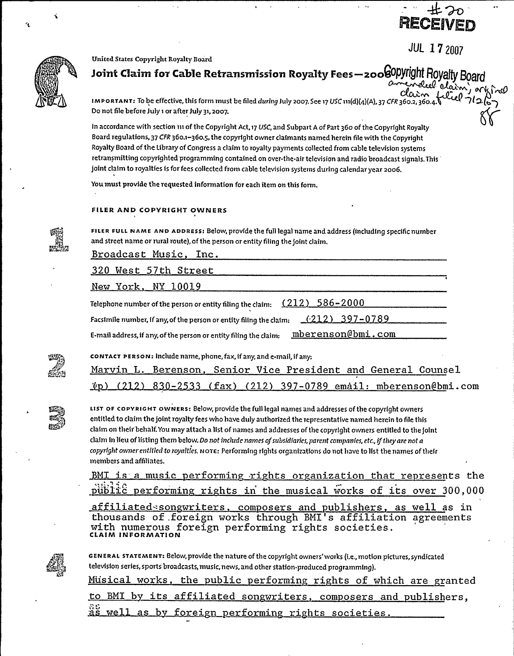

**JUL 17 2007** 



### United States Copyright Royalty Board

Joint Claim for Cable Retransmission Royalty Fees - 2008 Opyright Royalty Boa el claim,

IMPORTANT: To be effective, this form must be filed during July 2007. See 17 USC 111(d)(4)(A), 37 CFR 360.2, 360. Do not file before July 1 or after July 31, 2007.

In accordance with section 111 of the Copyright Act, 17 USC, and Subpart A of Part 360 of the Copyright Royalty Board regulations, 37 CFR 360.1-360.5, the copyright owner claimants named herein file with the Copyright Royalty Board of the Library of Congress a claim to royalty payments collected from cable television systems retransmitting copyrighted programming contained on over-the-air television and radio broadcast signals. This joint claim to royalties is for fees collected from cable television systems during calendar year 2006.

You must provide the requested information for each item on this form.

## FILER AND COPYRIGHT OWNERS

FILER FULL NAME AND ADDRESS: Below, provide the full legal name and address (including specific number and street name or rural route), of the person or entity filing the joint claim.

Broadcast Music, Inc.

320 West 57th Street New York, NY 10019  $(212)$ 586-2000 Telephone number of the person or entity filing the claim:  $(212)$  397-0789 Facsimile number, if any, of the person or entity filing the claim: mberenson@bmi.com E-mail address, if any, of the person or entity filing the claim: CONTACT PERSON: Include name, phone, fax, if any, and e-mail, if any:



Berenson, Senior Vice President and General Counsel (212) 397-0789 email: mberenson@bmi.com  $(fax)$ 830-2533



LIST OF COPYRIGHT OWNERS: Below, provide the full legal names and addresses of the copyright owners entitled to claim the joint royalty fees who have duly authorized the representative named herein to file this claim on their behalf. You may attach a list of names and addresses of the copyright owners entitled to the joint claim in lieu of listing them below. Do not include names of subsidiaries, parent companies, etc., if they are not a copyright owner entitled to royalties. NOTE: Performing rights organizations do not have to list the names of their members and affiliates.

BMI is a music performing rights organization that represents the public performing rights in the musical works of its over 300,000 affiliated songwriters, composers and publishers, as well as in thousands of foreign works through BMI's affiliation agreements with numerous foreign performing rights societies.



GENERAL STATEMENT: Below, provide the nature of the copyright owners' works (i.e., motion pictures, syndicated television series, sports broadcasts, music, news, and other station-produced programming).

Musical works, the public performing rights of which are granted to BMI by its affiliated songwriters, composers and publishers, by foreign performing rights societies.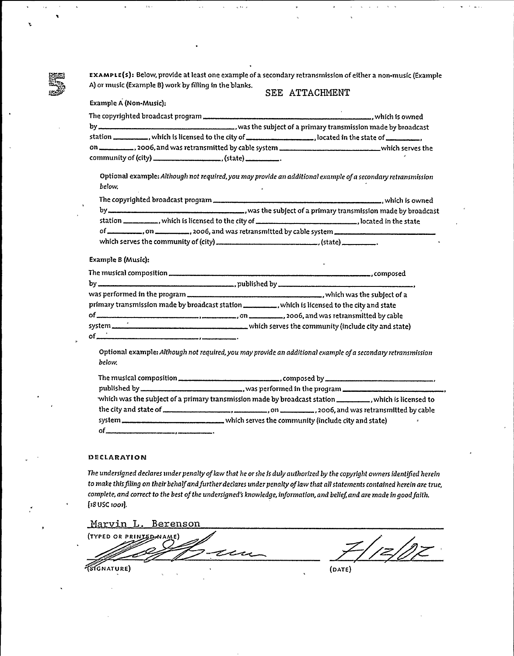ExAMPLE(s): Below, provide at least one example of a secondary retransmission of either a non-music (Example A) or music (Example B) work by filling in the blanks. SEE ATTACHMENT

| <b>Example A (Non-Music):</b>                                                                                          |  |
|------------------------------------------------------------------------------------------------------------------------|--|
|                                                                                                                        |  |
| station ___________, which is licensed to the city of _____________________, located in the state of ____________,     |  |
|                                                                                                                        |  |
| Optional example: Although not required, you may provide an additional example of a secondary retransmission<br>below. |  |
|                                                                                                                        |  |
|                                                                                                                        |  |
|                                                                                                                        |  |
|                                                                                                                        |  |
|                                                                                                                        |  |
| Example B (Music):                                                                                                     |  |
|                                                                                                                        |  |
|                                                                                                                        |  |
|                                                                                                                        |  |
| primary transmission made by broadcast station ___________, which is licensed to the city and state                    |  |

of ,on , 2oo6, and was retransmitted by cable  $\bigsqcup$  which serves the community (include city and state) of

Optional example: Although not required, you may provide an additional example of a secondary retransmission be1ow.

| which was the subject of a primary transmission made by broadcast station ___________, which is licensed to |   |
|-------------------------------------------------------------------------------------------------------------|---|
|                                                                                                             |   |
|                                                                                                             | x |
|                                                                                                             |   |

#### **DECLARATION**

The undersigned declares under penalty of law that he or she is duly authorized by the copyright owners identified herein to make this filing on their behalf and further declares under penalty of law that all statements contained herein are true, complete, and correct to the best of the undersigned's knowledge, information, and belief, and are made in good faith. [18 USC 1001].

## Marvin L. Berenson

(TYPED OR PRINIED NAME) GNATURE) (DATE)